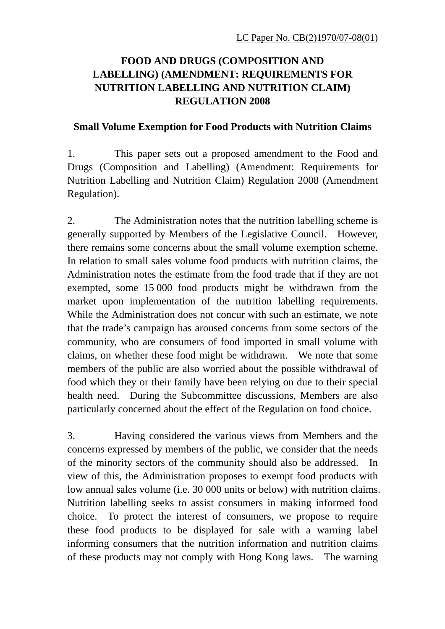# **FOOD AND DRUGS (COMPOSITION AND LABELLING) (AMENDMENT: REQUIREMENTS FOR NUTRITION LABELLING AND NUTRITION CLAIM) REGULATION 2008**

## **Small Volume Exemption for Food Products with Nutrition Claims**

1. This paper sets out a proposed amendment to the Food and Drugs (Composition and Labelling) (Amendment: Requirements for Nutrition Labelling and Nutrition Claim) Regulation 2008 (Amendment Regulation).

2. The Administration notes that the nutrition labelling scheme is generally supported by Members of the Legislative Council. However, there remains some concerns about the small volume exemption scheme. In relation to small sales volume food products with nutrition claims, the Administration notes the estimate from the food trade that if they are not exempted, some 15 000 food products might be withdrawn from the market upon implementation of the nutrition labelling requirements. While the Administration does not concur with such an estimate, we note that the trade's campaign has aroused concerns from some sectors of the community, who are consumers of food imported in small volume with claims, on whether these food might be withdrawn. We note that some members of the public are also worried about the possible withdrawal of food which they or their family have been relying on due to their special health need. During the Subcommittee discussions, Members are also particularly concerned about the effect of the Regulation on food choice.

3. Having considered the various views from Members and the concerns expressed by members of the public, we consider that the needs of the minority sectors of the community should also be addressed. view of this, the Administration proposes to exempt food products with low annual sales volume (i.e. 30 000 units or below) with nutrition claims. Nutrition labelling seeks to assist consumers in making informed food choice. To protect the interest of consumers, we propose to require these food products to be displayed for sale with a warning label informing consumers that the nutrition information and nutrition claims of these products may not comply with Hong Kong laws. The warning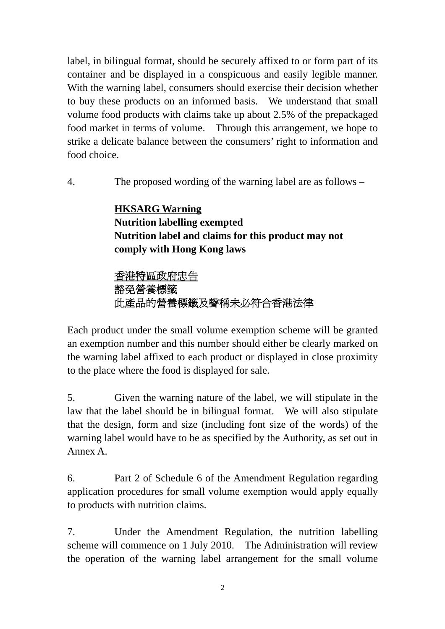label, in bilingual format, should be securely affixed to or form part of its container and be displayed in a conspicuous and easily legible manner. With the warning label, consumers should exercise their decision whether to buy these products on an informed basis. We understand that small volume food products with claims take up about 2.5% of the prepackaged food market in terms of volume. Through this arrangement, we hope to strike a delicate balance between the consumers' right to information and food choice.

4. The proposed wording of the warning label are as follows –

# **HKSARG Warning Nutrition labelling exempted Nutrition label and claims for this product may not comply with Hong Kong laws**

# 香港特區政府忠告 豁免營養標籤 此產品的營養標籤及聲稱未必符合香港法律

Each product under the small volume exemption scheme will be granted an exemption number and this number should either be clearly marked on the warning label affixed to each product or displayed in close proximity to the place where the food is displayed for sale.

5. Given the warning nature of the label, we will stipulate in the law that the label should be in bilingual format. We will also stipulate that the design, form and size (including font size of the words) of the warning label would have to be as specified by the Authority, as set out in Annex A.

6. Part 2 of Schedule 6 of the Amendment Regulation regarding application procedures for small volume exemption would apply equally to products with nutrition claims.

7. Under the Amendment Regulation, the nutrition labelling scheme will commence on 1 July 2010. The Administration will review the operation of the warning label arrangement for the small volume

2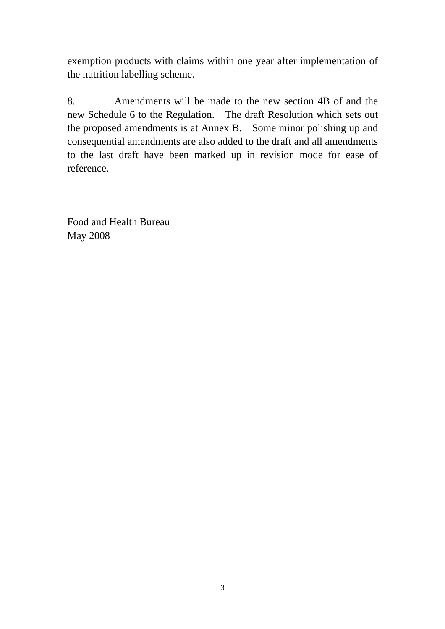exemption products with claims within one year after implementation of the nutrition labelling scheme.

8. Amendments will be made to the new section 4B of and the new Schedule 6 to the Regulation. The draft Resolution which sets out the proposed amendments is at Annex B. Some minor polishing up and consequential amendments are also added to the draft and all amendments to the last draft have been marked up in revision mode for ease of reference.

Food and Health Bureau May 2008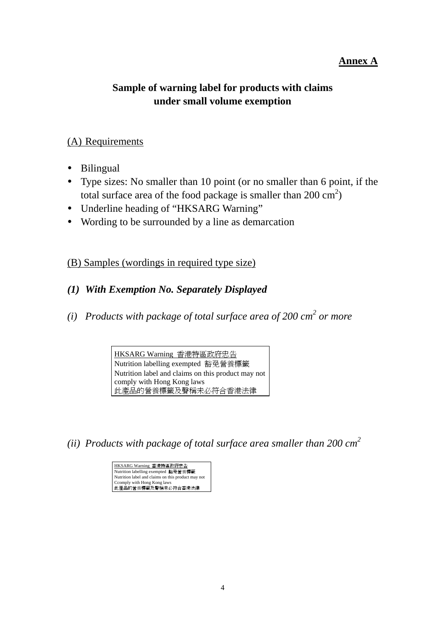## **Annex A**

# **Sample of warning label for products with claims under small volume exemption**

### (A) Requirements

- Bilingual
- Type sizes: No smaller than 10 point (or no smaller than 6 point, if the total surface area of the food package is smaller than  $200 \text{ cm}^2$ )
- Underline heading of "HKSARG Warning"
- Wording to be surrounded by a line as demarcation

## (B) Samples (wordings in required type size)

## *(1) With Exemption No. Separately Displayed*

*(i) Products with package of total surface area of 200 cm<sup>2</sup> or more* 

HKSARG Warning 香港特區政府忠告 Nutrition labelling exempted 豁免營養標籤 Nutrition label and claims on this product may not comply with Hong Kong laws 此產品的營養標籤及聲稱未必符合香港法律

*(ii) Products with package of total surface area smaller than 200 cm<sup>2</sup>*

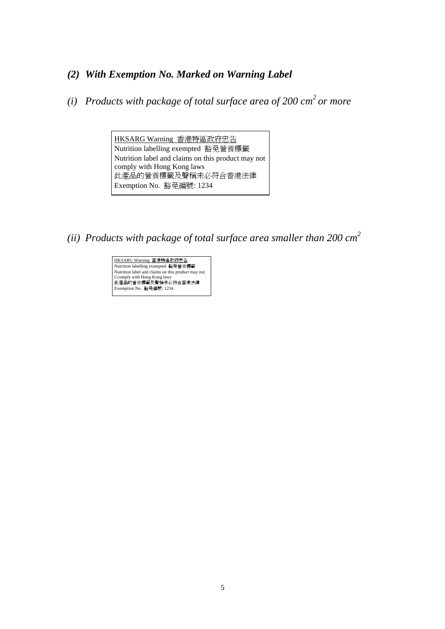## *(2) With Exemption No. Marked on Warning Label*

*(i) Products with package of total surface area of 200 cm<sup>2</sup> or more* 

HKSARG Warning 香港特區政府忠告 Nutrition labelling exempted 豁免營養標籤 Nutrition label and claims on this product may not comply with Hong Kong laws 此產品的營養標籤及聲稱未必符合香港法律 Exemption No. 豁免編號: 1234

*(ii) Products with package of total surface area smaller than 200 cm<sup>2</sup>*

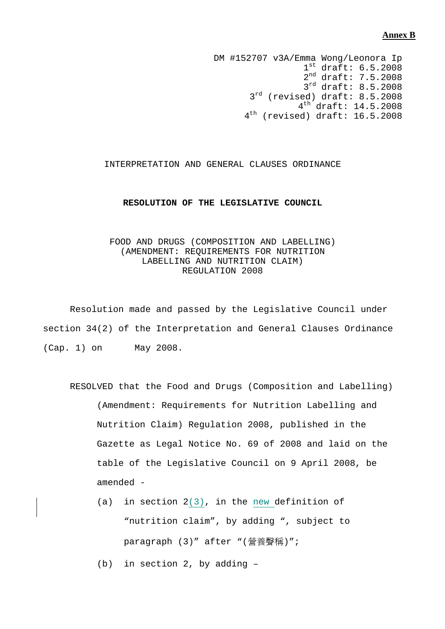#### **Annex B**

DM #152707 v3A/Emma Wong/Leonora Ip  $1^{\text{st}}$  draft:  $6.5.2008$ 2<sup>nd</sup> draft: 7.5.2008 3<sup>rd</sup> draft: 8.5.2008 3<sup>rd</sup> (revised) draft: 8.5.2008 4th draft: 14.5.2008 4<sup>th</sup> (revised) draft: 16.5.2008

#### INTERPRETATION AND GENERAL CLAUSES ORDINANCE

#### **RESOLUTION OF THE LEGISLATIVE COUNCIL**

#### FOOD AND DRUGS (COMPOSITION AND LABELLING) (AMENDMENT: REQUIREMENTS FOR NUTRITION LABELLING AND NUTRITION CLAIM) REGULATION 2008

 Resolution made and passed by the Legislative Council under section 34(2) of the Interpretation and General Clauses Ordinance (Cap. 1) on May 2008.

- RESOLVED that the Food and Drugs (Composition and Labelling) (Amendment: Requirements for Nutrition Labelling and Nutrition Claim) Regulation 2008, published in the Gazette as Legal Notice No. 69 of 2008 and laid on the table of the Legislative Council on 9 April 2008, be amended -
	- (a) in section 2(3), in the new definition of "nutrition claim", by adding ", subject to paragraph (3)" after "(營養聲稱)";
	- (b) in section 2, by adding –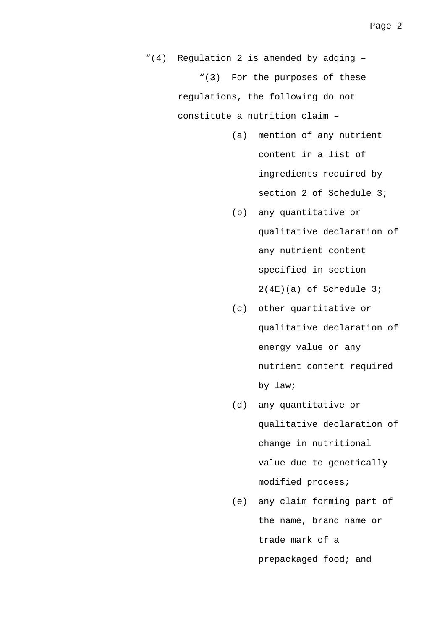"(4) Regulation 2 is amended by adding – "(3) For the purposes of these regulations, the following do not constitute a nutrition claim –

- (a) mention of any nutrient content in a list of ingredients required by section 2 of Schedule 3;
- (b) any quantitative or qualitative declaration of any nutrient content specified in section 2(4E)(a) of Schedule 3;
- (c) other quantitative or qualitative declaration of energy value or any nutrient content required by law;
- (d) any quantitative or qualitative declaration of change in nutritional value due to genetically modified process;
- (e) any claim forming part of the name, brand name or trade mark of a prepackaged food; and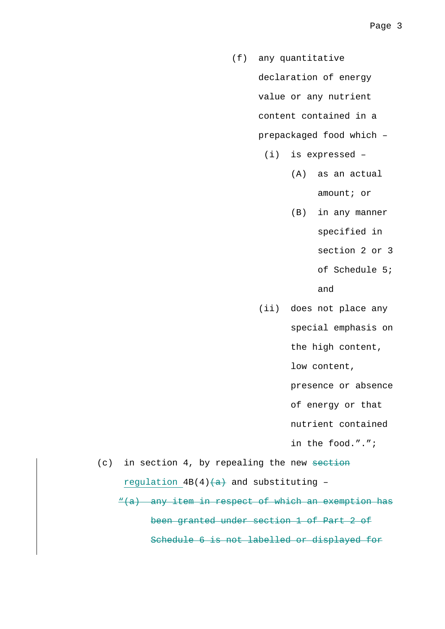- (f) any quantitative declaration of energy value or any nutrient content contained in a prepackaged food which –
	- (i) is expressed
		- (A) as an actual amount; or
		- (B) in any manner specified in section 2 or 3
			- of Schedule 5;

and

(ii) does not place any

special emphasis on

the high content,

low content,

presence or absence

of energy or that

nutrient contained

in the food.".";

 $(c)$  in section 4, by repealing the new section regulation  $4B(4)$   $\leftrightarrow$  and substituting -

"(a) any item in respect of which an exemption has been granted under section 1 of Part 2 of Schedule 6 is not labelled or displayed for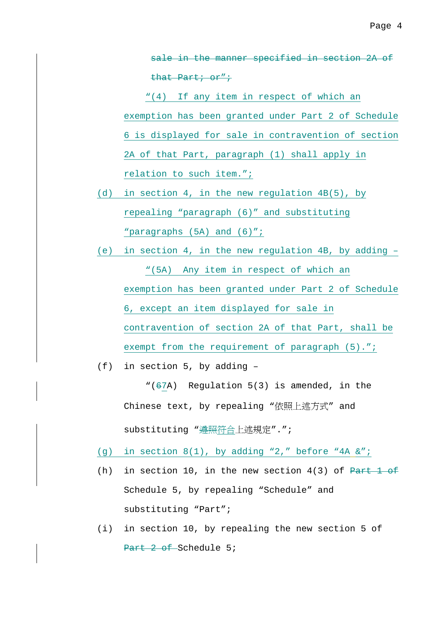sale in the manner specified in section 2A of that Part; or";

"(4) If any item in respect of which an exemption has been granted under Part 2 of Schedule 6 is displayed for sale in contravention of section 2A of that Part, paragraph (1) shall apply in relation to such item.";

- (d) in section 4, in the new regulation 4B(5), by repealing "paragraph (6)" and substituting "paragraphs (5A) and (6)";
- (e) in section 4, in the new regulation 4B, by adding "(5A) Any item in respect of which an exemption has been granted under Part 2 of Schedule 6, except an item displayed for sale in contravention of section 2A of that Part, shall be exempt from the requirement of paragraph (5).";
- (f) in section 5, by adding –

" $(67A)$  Regulation 5(3) is amended, in the Chinese text, by repealing "依照上述方式" and substituting "遵照符合上述規定".";

- (g) in section  $8(1)$ , by adding "2," before "4A  $&i$ ";
- (h) in section 10, in the new section  $4(3)$  of Part 1 of Schedule 5, by repealing "Schedule" and substituting "Part";
- (i) in section 10, by repealing the new section 5 of Part 2 of Schedule 5;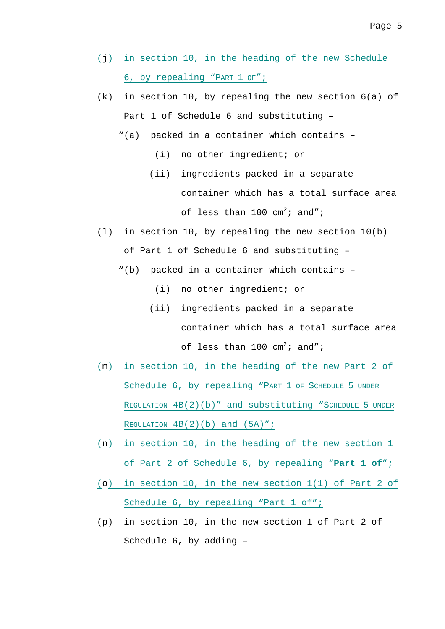- (j) in section 10, in the heading of the new Schedule 6, by repealing "PART 1 OF";
- (k) in section 10, by repealing the new section 6(a) of Part 1 of Schedule 6 and substituting –
	- "(a) packed in a container which contains
		- (i) no other ingredient; or
		- (ii) ingredients packed in a separate container which has a total surface area of less than  $100 \text{ cm}^2$ ; and";
- (l) in section 10, by repealing the new section 10(b) of Part 1 of Schedule 6 and substituting –
	- "(b) packed in a container which contains
		- (i) no other ingredient; or
		- (ii) ingredients packed in a separate container which has a total surface area of less than  $100 \text{ cm}^2$ ; and";
- (m) in section 10, in the heading of the new Part 2 of Schedule 6, by repealing "PART 1 OF SCHEDULE 5 UNDER REGULATION 4B(2)(b)" and substituting "SCHEDULE 5 UNDER REGULATION  $4B(2)(b)$  and  $(5A)$ ";
- (n) in section 10, in the heading of the new section 1 of Part 2 of Schedule 6, by repealing "**Part 1 of**";
- (o) in section 10, in the new section 1(1) of Part 2 of Schedule 6, by repealing "Part 1 of";
- (p) in section 10, in the new section 1 of Part 2 of Schedule 6, by adding –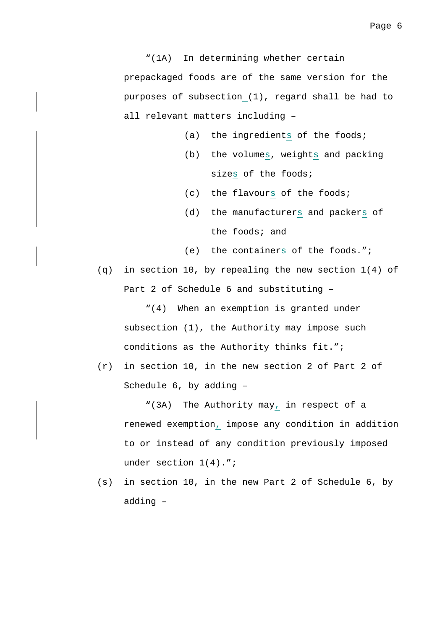"(1A) In determining whether certain prepackaged foods are of the same version for the purposes of subsection (1), regard shall be had to all relevant matters including –

- (a) the ingredients of the foods;
- (b) the volumes, weights and packing sizes of the foods;
- (c) the flavours of the foods;
- (d) the manufacturers and packers of the foods; and
- (e) the containers of the foods.";

(q) in section 10, by repealing the new section 1(4) of Part 2 of Schedule 6 and substituting –

"(4) When an exemption is granted under subsection (1), the Authority may impose such conditions as the Authority thinks fit.";

(r) in section 10, in the new section 2 of Part 2 of Schedule 6, by adding –

"(3A) The Authority may, in respect of a renewed exemption, impose any condition in addition to or instead of any condition previously imposed under section 1(4).";

(s) in section 10, in the new Part 2 of Schedule 6, by adding –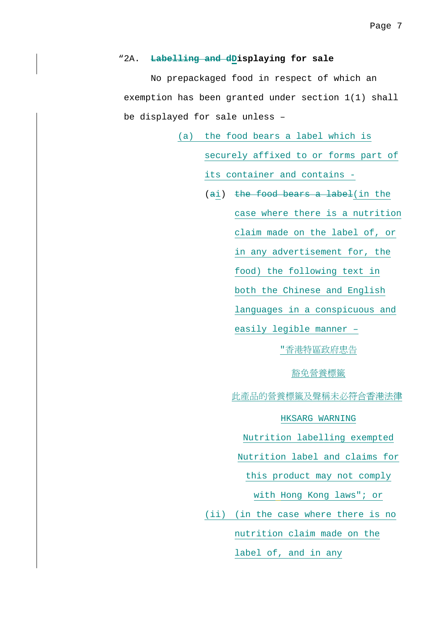#### "2A. **Labelling and dDisplaying for sale**

No prepackaged food in respect of which an exemption has been granted under section 1(1) shall be displayed for sale unless –

> (a) the food bears a label which is securely affixed to or forms part of its container and contains -

> > (ai) the food bears a label(in the case where there is a nutrition claim made on the label of, or in any advertisement for, the food) the following text in both the Chinese and English languages in a conspicuous and easily legible manner – "香港特區政府忠告

#### 豁免營養標籤

此產品的營養標籤及聲稱未必符合香港法律

#### HKSARG WARNING

Nutrition labelling exempted

Nutrition label and claims for

this product may not comply

with Hong Kong laws"; or

(ii) (in the case where there is no nutrition claim made on the

label of, and in any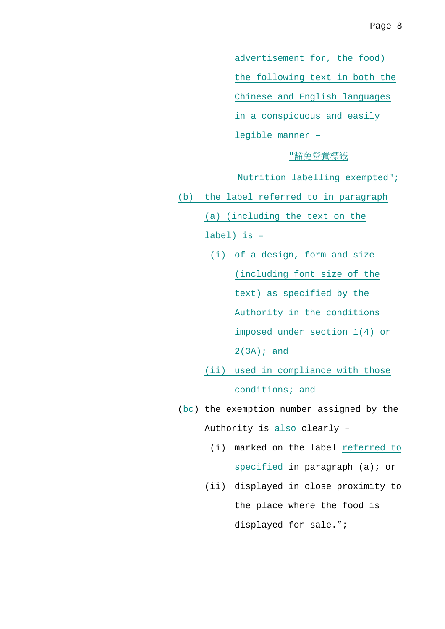advertisement for, the food)

the following text in both the

Chinese and English languages

in a conspicuous and easily

legible manner –

### "豁免營養標籤

- Nutrition labelling exempted";
- (b) the label referred to in paragraph

(a) (including the text on the

label) is –

- (i) of a design, form and size (including font size of the text) as specified by the Authority in the conditions imposed under section 1(4) or 2(3A); and
- (ii) used in compliance with those conditions; and
- (bc) the exemption number assigned by the Authority is also-clearly -
	- (i) marked on the label referred to specified in paragraph (a); or
	- (ii) displayed in close proximity to the place where the food is displayed for sale.";